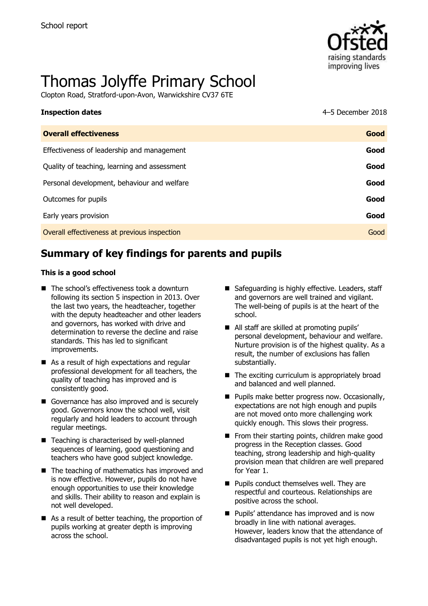

# Thomas Jolyffe Primary School

Clopton Road, Stratford-upon-Avon, Warwickshire CV37 6TE

| <b>Inspection dates</b>                      | 4-5 December 2018 |
|----------------------------------------------|-------------------|
| <b>Overall effectiveness</b>                 | Good              |
| Effectiveness of leadership and management   | Good              |
| Quality of teaching, learning and assessment | Good              |
| Personal development, behaviour and welfare  | Good              |
| Outcomes for pupils                          | Good              |
| Early years provision                        | Good              |
| Overall effectiveness at previous inspection | Good              |

# **Summary of key findings for parents and pupils**

#### **This is a good school**

- The school's effectiveness took a downturn following its section 5 inspection in 2013. Over the last two years, the headteacher, together with the deputy headteacher and other leaders and governors, has worked with drive and determination to reverse the decline and raise standards. This has led to significant improvements.
- As a result of high expectations and regular professional development for all teachers, the quality of teaching has improved and is consistently good.
- Governance has also improved and is securely good. Governors know the school well, visit regularly and hold leaders to account through regular meetings.
- Teaching is characterised by well-planned sequences of learning, good questioning and teachers who have good subject knowledge.
- $\blacksquare$  The teaching of mathematics has improved and is now effective. However, pupils do not have enough opportunities to use their knowledge and skills. Their ability to reason and explain is not well developed.
- As a result of better teaching, the proportion of pupils working at greater depth is improving across the school.
- Safeguarding is highly effective. Leaders, staff and governors are well trained and vigilant. The well-being of pupils is at the heart of the school.
- All staff are skilled at promoting pupils' personal development, behaviour and welfare. Nurture provision is of the highest quality. As a result, the number of exclusions has fallen substantially.
- $\blacksquare$  The exciting curriculum is appropriately broad and balanced and well planned.
- **Pupils make better progress now. Occasionally,** expectations are not high enough and pupils are not moved onto more challenging work quickly enough. This slows their progress.
- $\blacksquare$  From their starting points, children make good progress in the Reception classes. Good teaching, strong leadership and high-quality provision mean that children are well prepared for Year 1.
- **Pupils conduct themselves well. They are** respectful and courteous. Relationships are positive across the school.
- **Pupils' attendance has improved and is now** broadly in line with national averages. However, leaders know that the attendance of disadvantaged pupils is not yet high enough.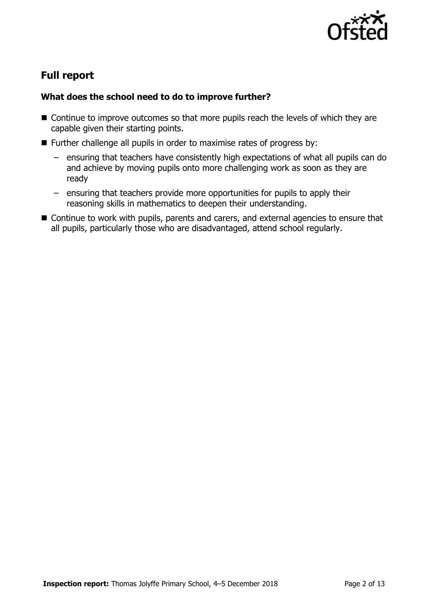

# **Full report**

### **What does the school need to do to improve further?**

- Continue to improve outcomes so that more pupils reach the levels of which they are capable given their starting points.
- Further challenge all pupils in order to maximise rates of progress by:
	- ensuring that teachers have consistently high expectations of what all pupils can do and achieve by moving pupils onto more challenging work as soon as they are ready
	- ensuring that teachers provide more opportunities for pupils to apply their reasoning skills in mathematics to deepen their understanding.
- Continue to work with pupils, parents and carers, and external agencies to ensure that all pupils, particularly those who are disadvantaged, attend school regularly.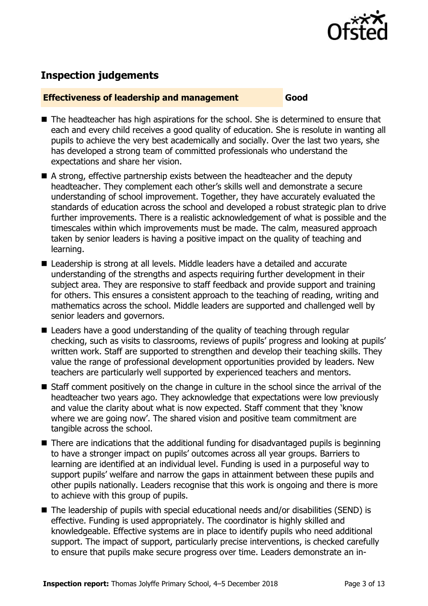

## **Inspection judgements**

#### **Effectiveness of leadership and management Good**

- The headteacher has high aspirations for the school. She is determined to ensure that each and every child receives a good quality of education. She is resolute in wanting all pupils to achieve the very best academically and socially. Over the last two years, she has developed a strong team of committed professionals who understand the expectations and share her vision.
- A strong, effective partnership exists between the headteacher and the deputy headteacher. They complement each other's skills well and demonstrate a secure understanding of school improvement. Together, they have accurately evaluated the standards of education across the school and developed a robust strategic plan to drive further improvements. There is a realistic acknowledgement of what is possible and the timescales within which improvements must be made. The calm, measured approach taken by senior leaders is having a positive impact on the quality of teaching and learning.
- Leadership is strong at all levels. Middle leaders have a detailed and accurate understanding of the strengths and aspects requiring further development in their subject area. They are responsive to staff feedback and provide support and training for others. This ensures a consistent approach to the teaching of reading, writing and mathematics across the school. Middle leaders are supported and challenged well by senior leaders and governors.
- Leaders have a good understanding of the quality of teaching through regular checking, such as visits to classrooms, reviews of pupils' progress and looking at pupils' written work. Staff are supported to strengthen and develop their teaching skills. They value the range of professional development opportunities provided by leaders. New teachers are particularly well supported by experienced teachers and mentors.
- Staff comment positively on the change in culture in the school since the arrival of the headteacher two years ago. They acknowledge that expectations were low previously and value the clarity about what is now expected. Staff comment that they 'know where we are going now'. The shared vision and positive team commitment are tangible across the school.
- There are indications that the additional funding for disadvantaged pupils is beginning to have a stronger impact on pupils' outcomes across all year groups. Barriers to learning are identified at an individual level. Funding is used in a purposeful way to support pupils' welfare and narrow the gaps in attainment between these pupils and other pupils nationally. Leaders recognise that this work is ongoing and there is more to achieve with this group of pupils.
- The leadership of pupils with special educational needs and/or disabilities (SEND) is effective. Funding is used appropriately. The coordinator is highly skilled and knowledgeable. Effective systems are in place to identify pupils who need additional support. The impact of support, particularly precise interventions, is checked carefully to ensure that pupils make secure progress over time. Leaders demonstrate an in-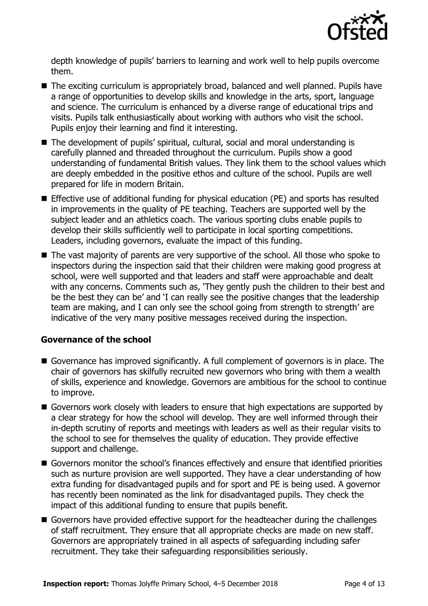

depth knowledge of pupils' barriers to learning and work well to help pupils overcome them.

- The exciting curriculum is appropriately broad, balanced and well planned. Pupils have a range of opportunities to develop skills and knowledge in the arts, sport, language and science. The curriculum is enhanced by a diverse range of educational trips and visits. Pupils talk enthusiastically about working with authors who visit the school. Pupils enjoy their learning and find it interesting.
- The development of pupils' spiritual, cultural, social and moral understanding is carefully planned and threaded throughout the curriculum. Pupils show a good understanding of fundamental British values. They link them to the school values which are deeply embedded in the positive ethos and culture of the school. Pupils are well prepared for life in modern Britain.
- Effective use of additional funding for physical education (PE) and sports has resulted in improvements in the quality of PE teaching. Teachers are supported well by the subject leader and an athletics coach. The various sporting clubs enable pupils to develop their skills sufficiently well to participate in local sporting competitions. Leaders, including governors, evaluate the impact of this funding.
- The vast majority of parents are very supportive of the school. All those who spoke to inspectors during the inspection said that their children were making good progress at school, were well supported and that leaders and staff were approachable and dealt with any concerns. Comments such as, 'They gently push the children to their best and be the best they can be' and 'I can really see the positive changes that the leadership team are making, and I can only see the school going from strength to strength' are indicative of the very many positive messages received during the inspection.

#### **Governance of the school**

- Governance has improved significantly. A full complement of governors is in place. The chair of governors has skilfully recruited new governors who bring with them a wealth of skills, experience and knowledge. Governors are ambitious for the school to continue to improve.
- Governors work closely with leaders to ensure that high expectations are supported by a clear strategy for how the school will develop. They are well informed through their in-depth scrutiny of reports and meetings with leaders as well as their regular visits to the school to see for themselves the quality of education. They provide effective support and challenge.
- Governors monitor the school's finances effectively and ensure that identified priorities such as nurture provision are well supported. They have a clear understanding of how extra funding for disadvantaged pupils and for sport and PE is being used. A governor has recently been nominated as the link for disadvantaged pupils. They check the impact of this additional funding to ensure that pupils benefit.
- Governors have provided effective support for the headteacher during the challenges of staff recruitment. They ensure that all appropriate checks are made on new staff. Governors are appropriately trained in all aspects of safeguarding including safer recruitment. They take their safeguarding responsibilities seriously.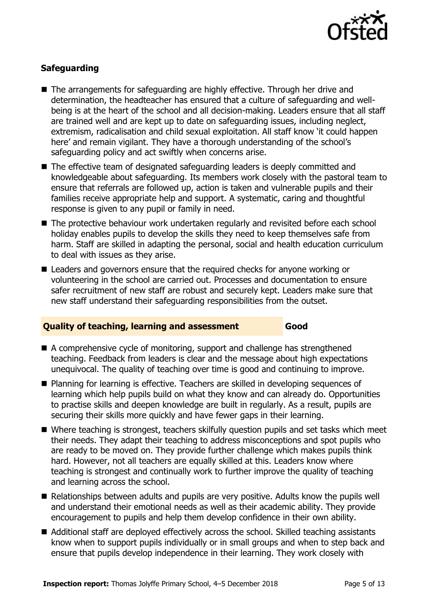

### **Safeguarding**

- The arrangements for safeguarding are highly effective. Through her drive and determination, the headteacher has ensured that a culture of safeguarding and wellbeing is at the heart of the school and all decision-making. Leaders ensure that all staff are trained well and are kept up to date on safeguarding issues, including neglect, extremism, radicalisation and child sexual exploitation. All staff know 'it could happen here' and remain vigilant. They have a thorough understanding of the school's safeguarding policy and act swiftly when concerns arise.
- The effective team of designated safeguarding leaders is deeply committed and knowledgeable about safeguarding. Its members work closely with the pastoral team to ensure that referrals are followed up, action is taken and vulnerable pupils and their families receive appropriate help and support. A systematic, caring and thoughtful response is given to any pupil or family in need.
- The protective behaviour work undertaken regularly and revisited before each school holiday enables pupils to develop the skills they need to keep themselves safe from harm. Staff are skilled in adapting the personal, social and health education curriculum to deal with issues as they arise.
- Leaders and governors ensure that the required checks for anyone working or volunteering in the school are carried out. Processes and documentation to ensure safer recruitment of new staff are robust and securely kept. Leaders make sure that new staff understand their safeguarding responsibilities from the outset.

#### **Quality of teaching, learning and assessment Good**

- A comprehensive cycle of monitoring, support and challenge has strengthened teaching. Feedback from leaders is clear and the message about high expectations unequivocal. The quality of teaching over time is good and continuing to improve.
- Planning for learning is effective. Teachers are skilled in developing sequences of learning which help pupils build on what they know and can already do. Opportunities to practise skills and deepen knowledge are built in regularly. As a result, pupils are securing their skills more quickly and have fewer gaps in their learning.
- Where teaching is strongest, teachers skilfully question pupils and set tasks which meet their needs. They adapt their teaching to address misconceptions and spot pupils who are ready to be moved on. They provide further challenge which makes pupils think hard. However, not all teachers are equally skilled at this. Leaders know where teaching is strongest and continually work to further improve the quality of teaching and learning across the school.
- Relationships between adults and pupils are very positive. Adults know the pupils well and understand their emotional needs as well as their academic ability. They provide encouragement to pupils and help them develop confidence in their own ability.
- Additional staff are deployed effectively across the school. Skilled teaching assistants know when to support pupils individually or in small groups and when to step back and ensure that pupils develop independence in their learning. They work closely with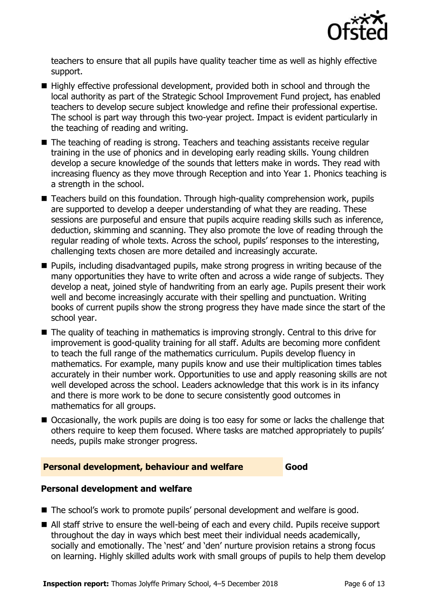

teachers to ensure that all pupils have quality teacher time as well as highly effective support.

- Highly effective professional development, provided both in school and through the local authority as part of the Strategic School Improvement Fund project, has enabled teachers to develop secure subject knowledge and refine their professional expertise. The school is part way through this two-year project. Impact is evident particularly in the teaching of reading and writing.
- The teaching of reading is strong. Teachers and teaching assistants receive regular training in the use of phonics and in developing early reading skills. Young children develop a secure knowledge of the sounds that letters make in words. They read with increasing fluency as they move through Reception and into Year 1. Phonics teaching is a strength in the school.
- Teachers build on this foundation. Through high-quality comprehension work, pupils are supported to develop a deeper understanding of what they are reading. These sessions are purposeful and ensure that pupils acquire reading skills such as inference, deduction, skimming and scanning. They also promote the love of reading through the regular reading of whole texts. Across the school, pupils' responses to the interesting, challenging texts chosen are more detailed and increasingly accurate.
- **Pupils, including disadvantaged pupils, make strong progress in writing because of the** many opportunities they have to write often and across a wide range of subjects. They develop a neat, joined style of handwriting from an early age. Pupils present their work well and become increasingly accurate with their spelling and punctuation. Writing books of current pupils show the strong progress they have made since the start of the school year.
- The quality of teaching in mathematics is improving strongly. Central to this drive for improvement is good-quality training for all staff. Adults are becoming more confident to teach the full range of the mathematics curriculum. Pupils develop fluency in mathematics. For example, many pupils know and use their multiplication times tables accurately in their number work. Opportunities to use and apply reasoning skills are not well developed across the school. Leaders acknowledge that this work is in its infancy and there is more work to be done to secure consistently good outcomes in mathematics for all groups.
- Occasionally, the work pupils are doing is too easy for some or lacks the challenge that others require to keep them focused. Where tasks are matched appropriately to pupils' needs, pupils make stronger progress.

#### **Personal development, behaviour and welfare Good**

#### **Personal development and welfare**

- The school's work to promote pupils' personal development and welfare is good.
- All staff strive to ensure the well-being of each and every child. Pupils receive support throughout the day in ways which best meet their individual needs academically, socially and emotionally. The 'nest' and 'den' nurture provision retains a strong focus on learning. Highly skilled adults work with small groups of pupils to help them develop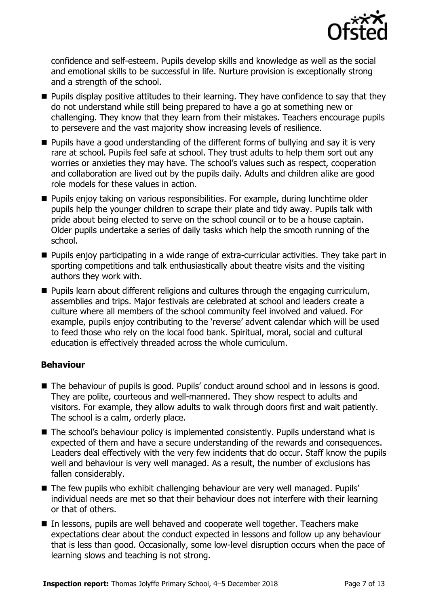

confidence and self-esteem. Pupils develop skills and knowledge as well as the social and emotional skills to be successful in life. Nurture provision is exceptionally strong and a strength of the school.

- **Pupils display positive attitudes to their learning. They have confidence to say that they** do not understand while still being prepared to have a go at something new or challenging. They know that they learn from their mistakes. Teachers encourage pupils to persevere and the vast majority show increasing levels of resilience.
- Pupils have a good understanding of the different forms of bullying and say it is very rare at school. Pupils feel safe at school. They trust adults to help them sort out any worries or anxieties they may have. The school's values such as respect, cooperation and collaboration are lived out by the pupils daily. Adults and children alike are good role models for these values in action.
- **Pupils enjoy taking on various responsibilities. For example, during lunchtime older** pupils help the younger children to scrape their plate and tidy away. Pupils talk with pride about being elected to serve on the school council or to be a house captain. Older pupils undertake a series of daily tasks which help the smooth running of the school.
- **Pupils enjoy participating in a wide range of extra-curricular activities. They take part in** sporting competitions and talk enthusiastically about theatre visits and the visiting authors they work with.
- **Pupils learn about different religions and cultures through the engaging curriculum,** assemblies and trips. Major festivals are celebrated at school and leaders create a culture where all members of the school community feel involved and valued. For example, pupils enjoy contributing to the 'reverse' advent calendar which will be used to feed those who rely on the local food bank. Spiritual, moral, social and cultural education is effectively threaded across the whole curriculum.

#### **Behaviour**

- The behaviour of pupils is good. Pupils' conduct around school and in lessons is good. They are polite, courteous and well-mannered. They show respect to adults and visitors. For example, they allow adults to walk through doors first and wait patiently. The school is a calm, orderly place.
- The school's behaviour policy is implemented consistently. Pupils understand what is expected of them and have a secure understanding of the rewards and consequences. Leaders deal effectively with the very few incidents that do occur. Staff know the pupils well and behaviour is very well managed. As a result, the number of exclusions has fallen considerably.
- The few pupils who exhibit challenging behaviour are very well managed. Pupils' individual needs are met so that their behaviour does not interfere with their learning or that of others.
- In lessons, pupils are well behaved and cooperate well together. Teachers make expectations clear about the conduct expected in lessons and follow up any behaviour that is less than good. Occasionally, some low-level disruption occurs when the pace of learning slows and teaching is not strong.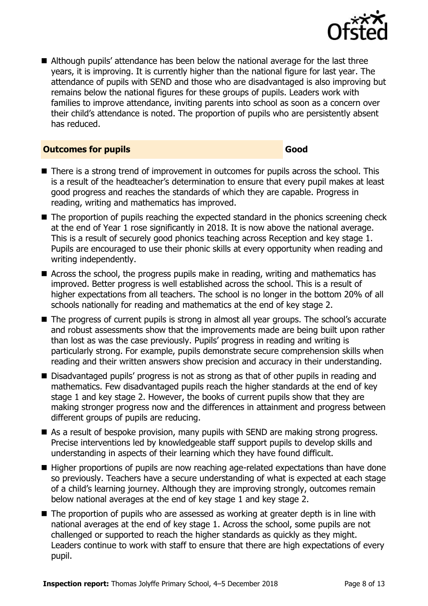

 Although pupils' attendance has been below the national average for the last three years, it is improving. It is currently higher than the national figure for last year. The attendance of pupils with SEND and those who are disadvantaged is also improving but remains below the national figures for these groups of pupils. Leaders work with families to improve attendance, inviting parents into school as soon as a concern over their child's attendance is noted. The proportion of pupils who are persistently absent has reduced.

#### **Outcomes for pupils Good**

- There is a strong trend of improvement in outcomes for pupils across the school. This is a result of the headteacher's determination to ensure that every pupil makes at least good progress and reaches the standards of which they are capable. Progress in reading, writing and mathematics has improved.
- The proportion of pupils reaching the expected standard in the phonics screening check at the end of Year 1 rose significantly in 2018. It is now above the national average. This is a result of securely good phonics teaching across Reception and key stage 1. Pupils are encouraged to use their phonic skills at every opportunity when reading and writing independently.
- Across the school, the progress pupils make in reading, writing and mathematics has improved. Better progress is well established across the school. This is a result of higher expectations from all teachers. The school is no longer in the bottom 20% of all schools nationally for reading and mathematics at the end of key stage 2.
- The progress of current pupils is strong in almost all year groups. The school's accurate and robust assessments show that the improvements made are being built upon rather than lost as was the case previously. Pupils' progress in reading and writing is particularly strong. For example, pupils demonstrate secure comprehension skills when reading and their written answers show precision and accuracy in their understanding.
- Disadvantaged pupils' progress is not as strong as that of other pupils in reading and mathematics. Few disadvantaged pupils reach the higher standards at the end of key stage 1 and key stage 2. However, the books of current pupils show that they are making stronger progress now and the differences in attainment and progress between different groups of pupils are reducing.
- As a result of bespoke provision, many pupils with SEND are making strong progress. Precise interventions led by knowledgeable staff support pupils to develop skills and understanding in aspects of their learning which they have found difficult.
- Higher proportions of pupils are now reaching age-related expectations than have done so previously. Teachers have a secure understanding of what is expected at each stage of a child's learning journey. Although they are improving strongly, outcomes remain below national averages at the end of key stage 1 and key stage 2.
- The proportion of pupils who are assessed as working at greater depth is in line with national averages at the end of key stage 1. Across the school, some pupils are not challenged or supported to reach the higher standards as quickly as they might. Leaders continue to work with staff to ensure that there are high expectations of every pupil.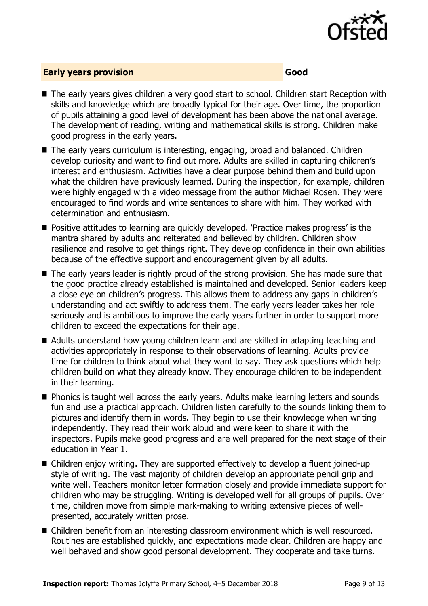

#### **Early years provision Good Good**

- The early years gives children a very good start to school. Children start Reception with skills and knowledge which are broadly typical for their age. Over time, the proportion of pupils attaining a good level of development has been above the national average. The development of reading, writing and mathematical skills is strong. Children make good progress in the early years.
- The early years curriculum is interesting, engaging, broad and balanced. Children develop curiosity and want to find out more. Adults are skilled in capturing children's interest and enthusiasm. Activities have a clear purpose behind them and build upon what the children have previously learned. During the inspection, for example, children were highly engaged with a video message from the author Michael Rosen. They were encouraged to find words and write sentences to share with him. They worked with determination and enthusiasm.
- **Positive attitudes to learning are quickly developed. 'Practice makes progress' is the** mantra shared by adults and reiterated and believed by children. Children show resilience and resolve to get things right. They develop confidence in their own abilities because of the effective support and encouragement given by all adults.
- The early years leader is rightly proud of the strong provision. She has made sure that the good practice already established is maintained and developed. Senior leaders keep a close eye on children's progress. This allows them to address any gaps in children's understanding and act swiftly to address them. The early years leader takes her role seriously and is ambitious to improve the early years further in order to support more children to exceed the expectations for their age.
- Adults understand how young children learn and are skilled in adapting teaching and activities appropriately in response to their observations of learning. Adults provide time for children to think about what they want to say. They ask questions which help children build on what they already know. They encourage children to be independent in their learning.
- **Phonics is taught well across the early years. Adults make learning letters and sounds** fun and use a practical approach. Children listen carefully to the sounds linking them to pictures and identify them in words. They begin to use their knowledge when writing independently. They read their work aloud and were keen to share it with the inspectors. Pupils make good progress and are well prepared for the next stage of their education in Year 1.
- Children enjoy writing. They are supported effectively to develop a fluent joined-up style of writing. The vast majority of children develop an appropriate pencil grip and write well. Teachers monitor letter formation closely and provide immediate support for children who may be struggling. Writing is developed well for all groups of pupils. Over time, children move from simple mark-making to writing extensive pieces of wellpresented, accurately written prose.
- Children benefit from an interesting classroom environment which is well resourced. Routines are established quickly, and expectations made clear. Children are happy and well behaved and show good personal development. They cooperate and take turns.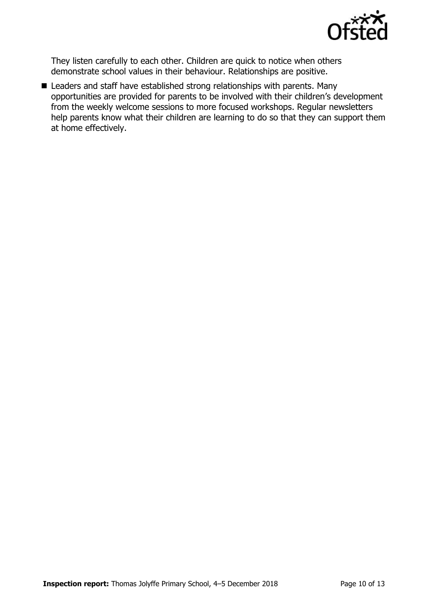

They listen carefully to each other. Children are quick to notice when others demonstrate school values in their behaviour. Relationships are positive.

■ Leaders and staff have established strong relationships with parents. Many opportunities are provided for parents to be involved with their children's development from the weekly welcome sessions to more focused workshops. Regular newsletters help parents know what their children are learning to do so that they can support them at home effectively.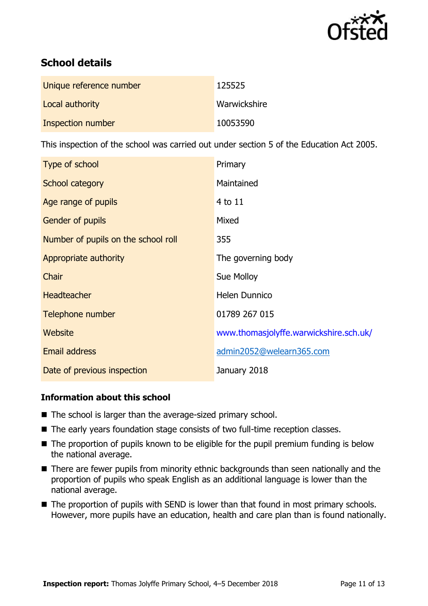

# **School details**

| Unique reference number | 125525       |
|-------------------------|--------------|
| Local authority         | Warwickshire |
| Inspection number       | 10053590     |

This inspection of the school was carried out under section 5 of the Education Act 2005.

| Type of school                      | Primary                                |
|-------------------------------------|----------------------------------------|
| School category                     | Maintained                             |
| Age range of pupils                 | 4 to 11                                |
| <b>Gender of pupils</b>             | Mixed                                  |
| Number of pupils on the school roll | 355                                    |
| Appropriate authority               | The governing body                     |
| Chair                               | Sue Molloy                             |
| <b>Headteacher</b>                  | Helen Dunnico                          |
| Telephone number                    | 01789 267 015                          |
| <b>Website</b>                      | www.thomasjolyffe.warwickshire.sch.uk/ |
| <b>Email address</b>                | admin2052@welearn365.com               |
| Date of previous inspection         | January 2018                           |

#### **Information about this school**

- The school is larger than the average-sized primary school.
- The early years foundation stage consists of two full-time reception classes.
- The proportion of pupils known to be eligible for the pupil premium funding is below the national average.
- There are fewer pupils from minority ethnic backgrounds than seen nationally and the proportion of pupils who speak English as an additional language is lower than the national average.
- The proportion of pupils with SEND is lower than that found in most primary schools. However, more pupils have an education, health and care plan than is found nationally.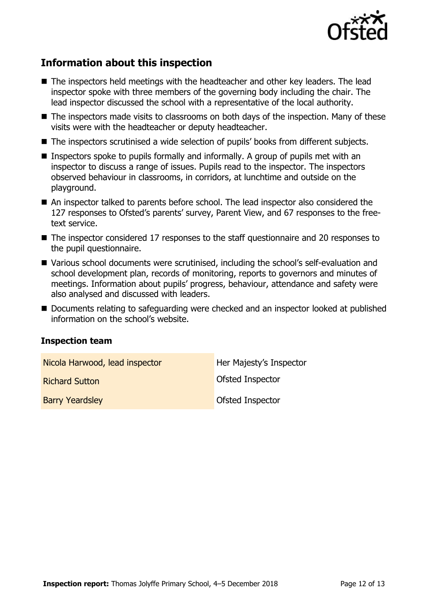

# **Information about this inspection**

- The inspectors held meetings with the headteacher and other key leaders. The lead inspector spoke with three members of the governing body including the chair. The lead inspector discussed the school with a representative of the local authority.
- The inspectors made visits to classrooms on both days of the inspection. Many of these visits were with the headteacher or deputy headteacher.
- The inspectors scrutinised a wide selection of pupils' books from different subjects.
- **Inspectors spoke to pupils formally and informally. A group of pupils met with an** inspector to discuss a range of issues. Pupils read to the inspector. The inspectors observed behaviour in classrooms, in corridors, at lunchtime and outside on the playground.
- An inspector talked to parents before school. The lead inspector also considered the 127 responses to Ofsted's parents' survey, Parent View, and 67 responses to the freetext service.
- The inspector considered 17 responses to the staff questionnaire and 20 responses to the pupil questionnaire.
- Various school documents were scrutinised, including the school's self-evaluation and school development plan, records of monitoring, reports to governors and minutes of meetings. Information about pupils' progress, behaviour, attendance and safety were also analysed and discussed with leaders.
- Documents relating to safeguarding were checked and an inspector looked at published information on the school's website.

#### **Inspection team**

| Nicola Harwood, lead inspector | Her Majesty's Inspector |
|--------------------------------|-------------------------|
| <b>Richard Sutton</b>          | Ofsted Inspector        |
| <b>Barry Yeardsley</b>         | Ofsted Inspector        |